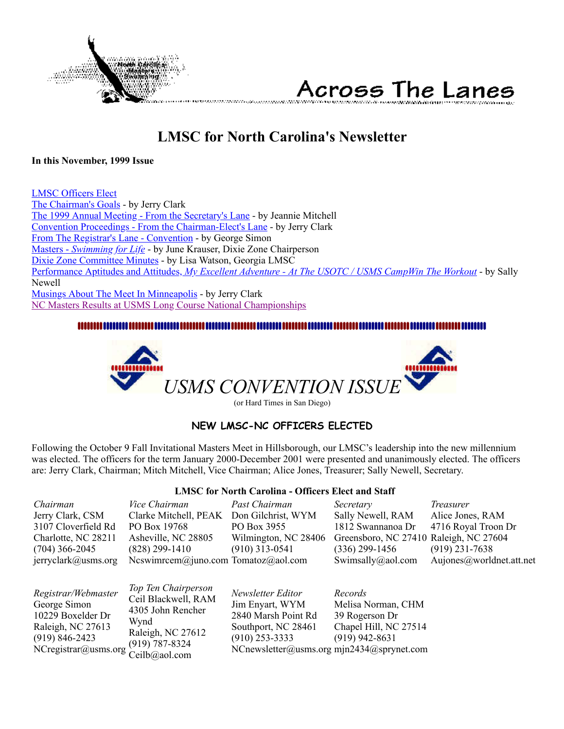<span id="page-0-1"></span>

Across The Lanes usuwa manazi wa

### **LMSC for North Carolina's Newsletter**

#### **In this November, 1999 Issue**

[LMSC Officers Elect](#page-0-0) [The Chairman's Goals](#page-1-0) - by Jerry Clark [The 1999 Annual Meeting - From the Secretary's Lane](#page-1-1) - by Jeannie Mitchell [Convention Proceedings - From the Chairman-Elect's Lane](#page-2-0) - by Jerry Clark [From The Registrar's Lane - Convention](#page-4-0) - by George Simon Masters - *[Swimming for Life](#page-5-0)* - by June Krauser, Dixie Zone Chairperson [Dixie Zone Committee Minutes](#page-7-0) - by Lisa Watson, Georgia LMSC Performance Aptitudes and Attitudes, *[My Excellent Adventure - At The USOTC / USMS CampWin The Workout](#page-8-0)* - by Sally Newell [Musings About The Meet In Minneapolis](#page-10-0) - by Jerry Clark [NC Masters Results at USMS Long Course National Championships](#page-10-1)



(or Hard Times in San Diego)

#### **NEW LMSC-NC OFFICERS ELECTED**

<span id="page-0-0"></span>Following the October 9 Fall Invitational Masters Meet in Hillsborough, our LMSC's leadership into the new millennium was elected. The officers for the term January 2000-December 2001 were presented and unanimously elected. The officers are: Jerry Clark, Chairman; Mitch Mitchell, Vice Chairman; Alice Jones, Treasurer; Sally Newell, Secretary.

**LMSC for North Carolina - Officers Elect and Staff**

| Chairman<br>Jerry Clark, CSM<br>3107 Cloverfield Rd<br>Charlotte, NC 28211<br>$(704)$ 366-2045<br>$j$ erryclark@usms.org    | <i>Vice Chairman</i><br>Clarke Mitchell, PEAK<br>PO Box 19768<br>Asheville, NC 28805<br>$(828)$ 299-1410<br>Ncswimrcem@juno.com Tomatoz@aol.com | Past Chairman<br>Don Gilchrist, WYM<br>PO Box 3955<br>Wilmington, NC 28406<br>$(910)$ 313-0541                                                      | Secretary<br>Sally Newell, RAM<br>1812 Swannanoa Dr<br>Greensboro, NC 27410 Raleigh, NC 27604<br>$(336)$ 299-1456<br>Swimsally@aol.com | <i>Treasurer</i><br>Alice Jones, RAM<br>4716 Royal Troon Dr<br>$(919)$ 231-7638<br>Aujones@worldnet.att.net |
|-----------------------------------------------------------------------------------------------------------------------------|-------------------------------------------------------------------------------------------------------------------------------------------------|-----------------------------------------------------------------------------------------------------------------------------------------------------|----------------------------------------------------------------------------------------------------------------------------------------|-------------------------------------------------------------------------------------------------------------|
| Registrar/Webmaster<br>George Simon<br>10229 Boxelder Dr<br>Raleigh, NC 27613<br>$(919) 846 - 2423$<br>NCregistrar@usms.org | Top Ten Chairperson<br>Ceil Blackwell, RAM<br>4305 John Rencher<br>Wynd<br>Raleigh, NC 27612<br>$(919) 787 - 8324$<br>Ceilb@aol.com             | Newsletter Editor<br>Jim Enyart, WYM<br>2840 Marsh Point Rd<br>Southport, NC 28461<br>$(910)$ 253-3333<br>NCnewsletter@usms.org mjn2434@sprynet.com | Records<br>Melisa Norman, CHM<br>39 Rogerson Dr<br>Chapel Hill, NC 27514<br>$(919)$ 942-8631                                           |                                                                                                             |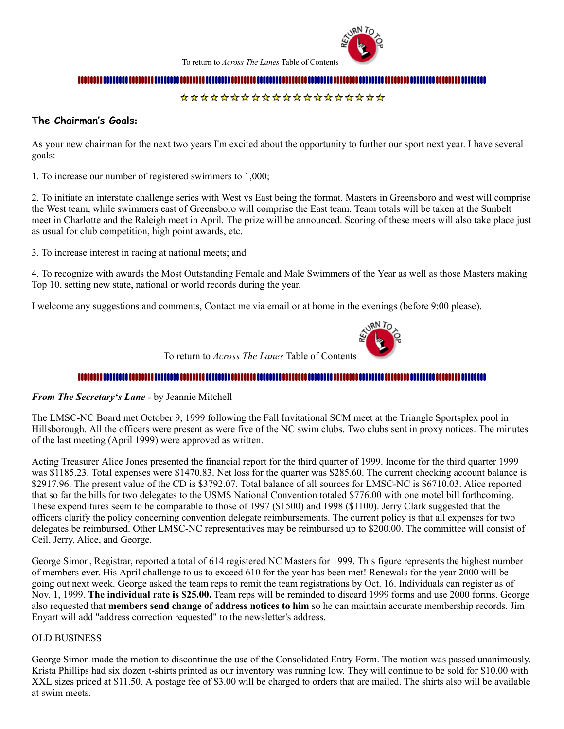

To return to *Across The Lanes* Table of Contents

#### 

#### \*\*\*\*\*\*\*\*\*\*\*\*\*\*\*\*\*\*\*\*

#### <span id="page-1-0"></span>**The Chairman's Goals:**

As your new chairman for the next two years I'm excited about the opportunity to further our sport next year. I have several goals:

1. To increase our number of registered swimmers to 1,000;

2. To initiate an interstate challenge series with West vs East being the format. Masters in Greensboro and west will comprise the West team, while swimmers east of Greensboro will comprise the East team. Team totals will be taken at the Sunbelt meet in Charlotte and the Raleigh meet in April. The prize will be announced. Scoring of these meets will also take place just as usual for club competition, high point awards, etc.

3. To increase interest in racing at national meets; and

4. To recognize with awards the Most Outstanding Female and Male Swimmers of the Year as well as those Masters making Top 10, setting new state, national or world records during the year.

I welcome any suggestions and comments, Contact me via email or at home in the evenings (before 9:00 please).



To return to *Across The Lanes* Table of Contents

#### 

#### <span id="page-1-1"></span>*From The Secretary's Lane -* by Jeannie Mitchell

The LMSC-NC Board met October 9, 1999 following the Fall Invitational SCM meet at the Triangle Sportsplex pool in Hillsborough. All the officers were present as were five of the NC swim clubs. Two clubs sent in proxy notices. The minutes of the last meeting (April 1999) were approved as written.

Acting Treasurer Alice Jones presented the financial report for the third quarter of 1999. Income for the third quarter 1999 was \$1185.23. Total expenses were \$1470.83. Net loss for the quarter was \$285.60. The current checking account balance is \$2917.96. The present value of the CD is \$3792.07. Total balance of all sources for LMSC-NC is \$6710.03. Alice reported that so far the bills for two delegates to the USMS National Convention totaled \$776.00 with one motel bill forthcoming. These expenditures seem to be comparable to those of 1997 (\$1500) and 1998 (\$1100). Jerry Clark suggested that the officers clarify the policy concerning convention delegate reimbursements. The current policy is that all expenses for two delegates be reimbursed. Other LMSC-NC representatives may be reimbursed up to \$200.00. The committee will consist of Ceil, Jerry, Alice, and George.

George Simon, Registrar, reported a total of 614 registered NC Masters for 1999. This figure represents the highest number of members ever. His April challenge to us to exceed 610 for the year has been met! Renewals for the year 2000 will be going out next week. George asked the team reps to remit the team registrations by Oct. 16. Individuals can register as of Nov. 1, 1999. **The individual rate is \$25.00.** Team reps will be reminded to discard 1999 forms and use 2000 forms. George also requested that **members send change of address notices to him** so he can maintain accurate membership records. Jim Enyart will add "address correction requested" to the newsletter's address.

#### OLD BUSINESS

George Simon made the motion to discontinue the use of the Consolidated Entry Form. The motion was passed unanimously. Krista Phillips had six dozen t-shirts printed as our inventory was running low. They will continue to be sold for \$10.00 with XXL sizes priced at \$11.50. A postage fee of \$3.00 will be charged to orders that are mailed. The shirts also will be available at swim meets.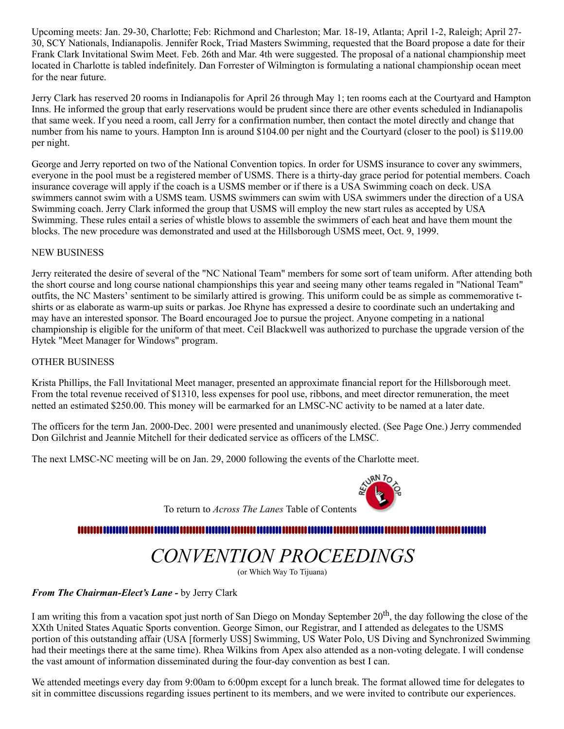Upcoming meets: Jan. 29-30, Charlotte; Feb: Richmond and Charleston; Mar. 18-19, Atlanta; April 1-2, Raleigh; April 27- 30, SCY Nationals, Indianapolis. Jennifer Rock, Triad Masters Swimming, requested that the Board propose a date for their Frank Clark Invitational Swim Meet. Feb. 26th and Mar. 4th were suggested. The proposal of a national championship meet located in Charlotte is tabled indefinitely. Dan Forrester of Wilmington is formulating a national championship ocean meet for the near future.

Jerry Clark has reserved 20 rooms in Indianapolis for April 26 through May 1; ten rooms each at the Courtyard and Hampton Inns. He informed the group that early reservations would be prudent since there are other events scheduled in Indianapolis that same week. If you need a room, call Jerry for a confirmation number, then contact the motel directly and change that number from his name to yours. Hampton Inn is around \$104.00 per night and the Courtyard (closer to the pool) is \$119.00 per night.

George and Jerry reported on two of the National Convention topics. In order for USMS insurance to cover any swimmers, everyone in the pool must be a registered member of USMS. There is a thirty-day grace period for potential members. Coach insurance coverage will apply if the coach is a USMS member or if there is a USA Swimming coach on deck. USA swimmers cannot swim with a USMS team. USMS swimmers can swim with USA swimmers under the direction of a USA Swimming coach. Jerry Clark informed the group that USMS will employ the new start rules as accepted by USA Swimming. These rules entail a series of whistle blows to assemble the swimmers of each heat and have them mount the blocks. The new procedure was demonstrated and used at the Hillsborough USMS meet, Oct. 9, 1999.

#### NEW BUSINESS

Jerry reiterated the desire of several of the "NC National Team" members for some sort of team uniform. After attending both the short course and long course national championships this year and seeing many other teams regaled in "National Team" outfits, the NC Masters' sentiment to be similarly attired is growing. This uniform could be as simple as commemorative tshirts or as elaborate as warm-up suits or parkas. Joe Rhyne has expressed a desire to coordinate such an undertaking and may have an interested sponsor. The Board encouraged Joe to pursue the project. Anyone competing in a national championship is eligible for the uniform of that meet. Ceil Blackwell was authorized to purchase the upgrade version of the Hytek "Meet Manager for Windows" program.

#### OTHER BUSINESS

Krista Phillips, the Fall Invitational Meet manager, presented an approximate financial report for the Hillsborough meet. From the total revenue received of \$1310, less expenses for pool use, ribbons, and meet director remuneration, the meet netted an estimated \$250.00. This money will be earmarked for an LMSC-NC activity to be named at a later date.

The officers for the term Jan. 2000-Dec. 2001 were presented and unanimously elected. (See Page One.) Jerry commended Don Gilchrist and Jeannie Mitchell for their dedicated service as officers of the LMSC.

The next LMSC-NC meeting will be on Jan. 29, 2000 following the events of the Charlotte meet.



To return to *Across The Lanes* Table of Contents

#### 

## *CONVENTION PROCEEDINGS*

(or Which Way To Tijuana)

<span id="page-2-0"></span>*From The Chairman-Elect's Lane -* by Jerry Clark

I am writing this from a vacation spot just north of San Diego on Monday September 20<sup>th</sup>, the day following the close of the XXth United States Aquatic Sports convention. George Simon, our Registrar, and I attended as delegates to the USMS portion of this outstanding affair (USA [formerly USS] Swimming, US Water Polo, US Diving and Synchronized Swimming had their meetings there at the same time). Rhea Wilkins from Apex also attended as a non-voting delegate. I will condense the vast amount of information disseminated during the four-day convention as best I can.

We attended meetings every day from 9:00am to 6:00pm except for a lunch break. The format allowed time for delegates to sit in committee discussions regarding issues pertinent to its members, and we were invited to contribute our experiences.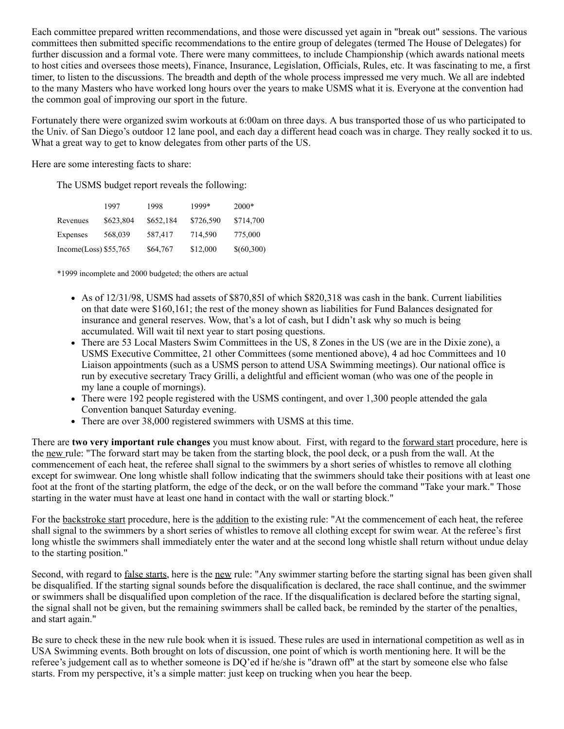Each committee prepared written recommendations, and those were discussed yet again in "break out" sessions. The various committees then submitted specific recommendations to the entire group of delegates (termed The House of Delegates) for further discussion and a formal vote. There were many committees, to include Championship (which awards national meets to host cities and oversees those meets), Finance, Insurance, Legislation, Officials, Rules, etc. It was fascinating to me, a first timer, to listen to the discussions. The breadth and depth of the whole process impressed me very much. We all are indebted to the many Masters who have worked long hours over the years to make USMS what it is. Everyone at the convention had the common goal of improving our sport in the future.

Fortunately there were organized swim workouts at 6:00am on three days. A bus transported those of us who participated to the Univ. of San Diego's outdoor 12 lane pool, and each day a different head coach was in charge. They really socked it to us. What a great way to get to know delegates from other parts of the US.

Here are some interesting facts to share:

The USMS budget report reveals the following:

|                          | 1997      | 1998      | 1999*     | $2000*$    |
|--------------------------|-----------|-----------|-----------|------------|
| Revenues                 | \$623,804 | \$652,184 | \$726,590 | \$714,700  |
| Expenses                 | 568,039   | 587,417   | 714,590   | 775,000    |
| Income $(Loss)$ \$55,765 |           | \$64,767  | \$12,000  | \$(60,300) |

\*1999 incomplete and 2000 budgeted; the others are actual

- As of 12/31/98, USMS had assets of \$870,85l of which \$820,318 was cash in the bank. Current liabilities on that date were \$160,161; the rest of the money shown as liabilities for Fund Balances designated for insurance and general reserves. Wow, that's a lot of cash, but I didn't ask why so much is being accumulated. Will wait til next year to start posing questions.
- There are 53 Local Masters Swim Committees in the US, 8 Zones in the US (we are in the Dixie zone), a USMS Executive Committee, 21 other Committees (some mentioned above), 4 ad hoc Committees and 10 Liaison appointments (such as a USMS person to attend USA Swimming meetings). Our national office is run by executive secretary Tracy Grilli, a delightful and efficient woman (who was one of the people in my lane a couple of mornings).
- There were 192 people registered with the USMS contingent, and over 1,300 people attended the gala Convention banquet Saturday evening.
- There are over 38,000 registered swimmers with USMS at this time.

There are **two very important rule changes** you must know about. First, with regard to the forward start procedure, here is the new rule: "The forward start may be taken from the starting block, the pool deck, or a push from the wall. At the commencement of each heat, the referee shall signal to the swimmers by a short series of whistles to remove all clothing except for swimwear. One long whistle shall follow indicating that the swimmers should take their positions with at least one foot at the front of the starting platform, the edge of the deck, or on the wall before the command "Take your mark." Those starting in the water must have at least one hand in contact with the wall or starting block."

For the backstroke start procedure, here is the addition to the existing rule: "At the commencement of each heat, the referee shall signal to the swimmers by a short series of whistles to remove all clothing except for swim wear. At the referee's first long whistle the swimmers shall immediately enter the water and at the second long whistle shall return without undue delay to the starting position."

Second, with regard to <u>false starts</u>, here is the <u>new</u> rule: "Any swimmer starting before the starting signal has been given shall be disqualified. If the starting signal sounds before the disqualification is declared, the race shall continue, and the swimmer or swimmers shall be disqualified upon completion of the race. If the disqualification is declared before the starting signal, the signal shall not be given, but the remaining swimmers shall be called back, be reminded by the starter of the penalties, and start again."

Be sure to check these in the new rule book when it is issued. These rules are used in international competition as well as in USA Swimming events. Both brought on lots of discussion, one point of which is worth mentioning here. It will be the referee's judgement call as to whether someone is DQ'ed if he/she is "drawn off" at the start by someone else who false starts. From my perspective, it's a simple matter: just keep on trucking when you hear the beep.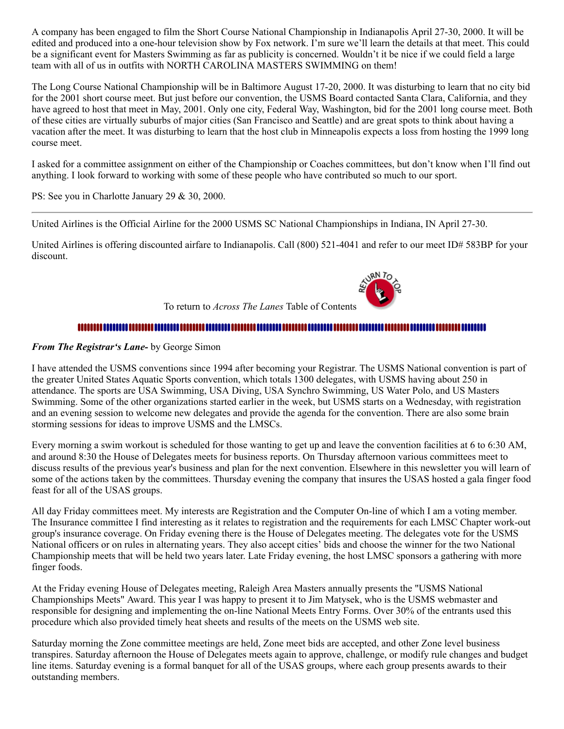A company has been engaged to film the Short Course National Championship in Indianapolis April 27-30, 2000. It will be edited and produced into a one-hour television show by Fox network. I'm sure we'll learn the details at that meet. This could be a significant event for Masters Swimming as far as publicity is concerned. Wouldn't it be nice if we could field a large team with all of us in outfits with NORTH CAROLINA MASTERS SWIMMING on them!

The Long Course National Championship will be in Baltimore August 17-20, 2000. It was disturbing to learn that no city bid for the 2001 short course meet. But just before our convention, the USMS Board contacted Santa Clara, California, and they have agreed to host that meet in May, 2001. Only one city, Federal Way, Washington, bid for the 2001 long course meet. Both of these cities are virtually suburbs of major cities (San Francisco and Seattle) and are great spots to think about having a vacation after the meet. It was disturbing to learn that the host club in Minneapolis expects a loss from hosting the 1999 long course meet.

I asked for a committee assignment on either of the Championship or Coaches committees, but don't know when I'll find out anything. I look forward to working with some of these people who have contributed so much to our sport.

PS: See you in Charlotte January 29 & 30, 2000.

United Airlines is the Official Airline for the 2000 USMS SC National Championships in Indiana, IN April 27-30.

United Airlines is offering discounted airfare to Indianapolis. Call (800) 521-4041 and refer to our meet ID# 583BP for your discount.



To return to *Across The Lanes* Table of Contents

#### 

#### <span id="page-4-0"></span>*From The Registrar's Lane-* by George Simon

I have attended the USMS conventions since 1994 after becoming your Registrar. The USMS National convention is part of the greater United States Aquatic Sports convention, which totals 1300 delegates, with USMS having about 250 in attendance. The sports are USA Swimming, USA Diving, USA Synchro Swimming, US Water Polo, and US Masters Swimming. Some of the other organizations started earlier in the week, but USMS starts on a Wednesday, with registration and an evening session to welcome new delegates and provide the agenda for the convention. There are also some brain storming sessions for ideas to improve USMS and the LMSCs.

Every morning a swim workout is scheduled for those wanting to get up and leave the convention facilities at 6 to 6:30 AM, and around 8:30 the House of Delegates meets for business reports. On Thursday afternoon various committees meet to discuss results of the previous year's business and plan for the next convention. Elsewhere in this newsletter you will learn of some of the actions taken by the committees. Thursday evening the company that insures the USAS hosted a gala finger food feast for all of the USAS groups.

All day Friday committees meet. My interests are Registration and the Computer On-line of which I am a voting member. The Insurance committee I find interesting as it relates to registration and the requirements for each LMSC Chapter work-out group's insurance coverage. On Friday evening there is the House of Delegates meeting. The delegates vote for the USMS National officers or on rules in alternating years. They also accept cities' bids and choose the winner for the two National Championship meets that will be held two years later. Late Friday evening, the host LMSC sponsors a gathering with more finger foods.

At the Friday evening House of Delegates meeting, Raleigh Area Masters annually presents the "USMS National Championships Meets" Award. This year I was happy to present it to Jim Matysek, who is the USMS webmaster and responsible for designing and implementing the on-line National Meets Entry Forms. Over 30% of the entrants used this procedure which also provided timely heat sheets and results of the meets on the USMS web site.

Saturday morning the Zone committee meetings are held, Zone meet bids are accepted, and other Zone level business transpires. Saturday afternoon the House of Delegates meets again to approve, challenge, or modify rule changes and budget line items. Saturday evening is a formal banquet for all of the USAS groups, where each group presents awards to their outstanding members.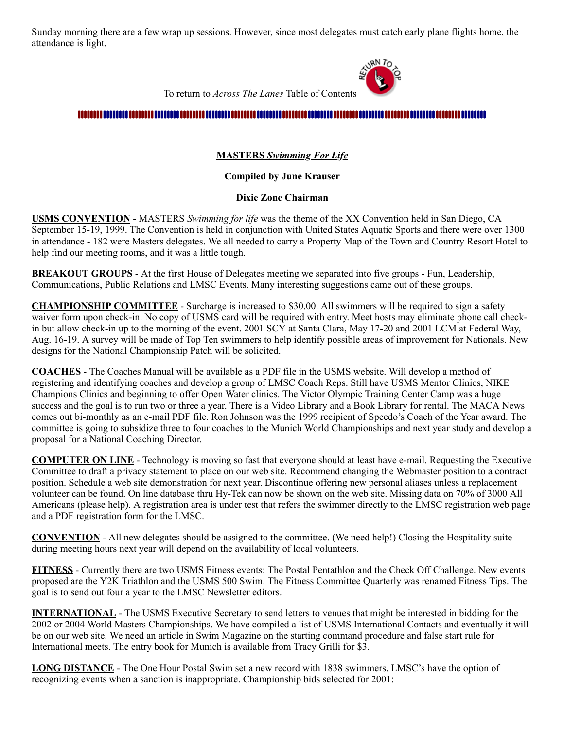Sunday morning there are a few wrap up sessions. However, since most delegates must catch early plane flights home, the attendance is light.



To return to *Across The Lanes* Table of Contents

#### <span id="page-5-0"></span>

#### **MASTERS** *Swimming For Life*

#### **Compiled by June Krauser**

#### **Dixie Zone Chairman**

**USMS CONVENTION** - MASTERS *Swimming for life* was the theme of the XX Convention held in San Diego, CA September 15-19, 1999. The Convention is held in conjunction with United States Aquatic Sports and there were over 1300 in attendance - 182 were Masters delegates. We all needed to carry a Property Map of the Town and Country Resort Hotel to help find our meeting rooms, and it was a little tough.

**BREAKOUT GROUPS** - At the first House of Delegates meeting we separated into five groups - Fun, Leadership, Communications, Public Relations and LMSC Events. Many interesting suggestions came out of these groups.

**CHAMPIONSHIP COMMITTEE** - Surcharge is increased to \$30.00. All swimmers will be required to sign a safety waiver form upon check-in. No copy of USMS card will be required with entry. Meet hosts may eliminate phone call checkin but allow check-in up to the morning of the event. 2001 SCY at Santa Clara, May 17-20 and 2001 LCM at Federal Way, Aug. 16-19. A survey will be made of Top Ten swimmers to help identify possible areas of improvement for Nationals. New designs for the National Championship Patch will be solicited.

**COACHES** - The Coaches Manual will be available as a PDF file in the USMS website. Will develop a method of registering and identifying coaches and develop a group of LMSC Coach Reps. Still have USMS Mentor Clinics, NIKE Champions Clinics and beginning to offer Open Water clinics. The Victor Olympic Training Center Camp was a huge success and the goal is to run two or three a year. There is a Video Library and a Book Library for rental. The MACA News comes out bi-monthly as an e-mail PDF file. Ron Johnson was the 1999 recipient of Speedo's Coach of the Year award. The committee is going to subsidize three to four coaches to the Munich World Championships and next year study and develop a proposal for a National Coaching Director.

**COMPUTER ON LINE** - Technology is moving so fast that everyone should at least have e-mail. Requesting the Executive Committee to draft a privacy statement to place on our web site. Recommend changing the Webmaster position to a contract position. Schedule a web site demonstration for next year. Discontinue offering new personal aliases unless a replacement volunteer can be found. On line database thru Hy-Tek can now be shown on the web site. Missing data on 70% of 3000 All Americans (please help). A registration area is under test that refers the swimmer directly to the LMSC registration web page and a PDF registration form for the LMSC.

**CONVENTION** - All new delegates should be assigned to the committee. (We need help!) Closing the Hospitality suite during meeting hours next year will depend on the availability of local volunteers.

**FITNESS** - Currently there are two USMS Fitness events: The Postal Pentathlon and the Check Off Challenge. New events proposed are the Y2K Triathlon and the USMS 500 Swim. The Fitness Committee Quarterly was renamed Fitness Tips. The goal is to send out four a year to the LMSC Newsletter editors.

**INTERNATIONAL** - The USMS Executive Secretary to send letters to venues that might be interested in bidding for the 2002 or 2004 World Masters Championships. We have compiled a list of USMS International Contacts and eventually it will be on our web site. We need an article in Swim Magazine on the starting command procedure and false start rule for International meets. The entry book for Munich is available from Tracy Grilli for \$3.

**LONG DISTANCE** - The One Hour Postal Swim set a new record with 1838 swimmers. LMSC's have the option of recognizing events when a sanction is inappropriate. Championship bids selected for 2001: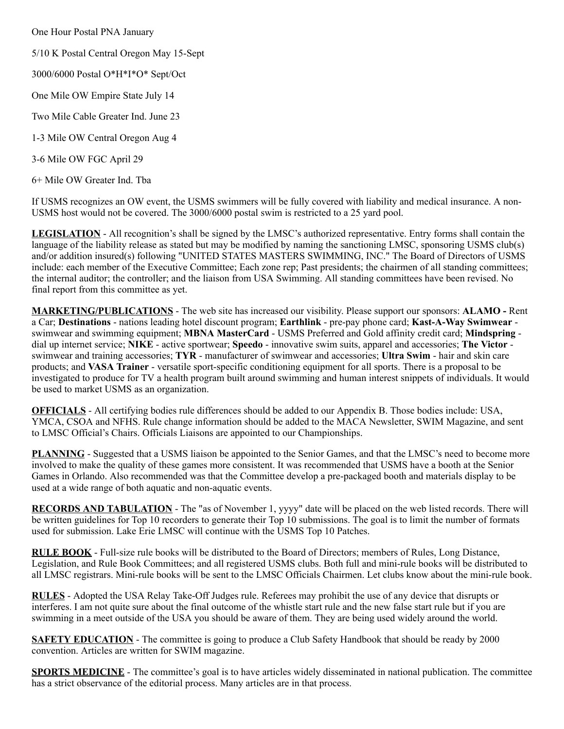One Hour Postal PNA January

- 5/10 K Postal Central Oregon May 15-Sept
- 3000/6000 Postal O\*H\*I\*O\* Sept/Oct
- One Mile OW Empire State July 14
- Two Mile Cable Greater Ind. June 23
- 1-3 Mile OW Central Oregon Aug 4
- 3-6 Mile OW FGC April 29

6+ Mile OW Greater Ind. Tba

If USMS recognizes an OW event, the USMS swimmers will be fully covered with liability and medical insurance. A non-USMS host would not be covered. The 3000/6000 postal swim is restricted to a 25 yard pool.

**LEGISLATION** - All recognition's shall be signed by the LMSC's authorized representative. Entry forms shall contain the language of the liability release as stated but may be modified by naming the sanctioning LMSC, sponsoring USMS club(s) and/or addition insured(s) following "UNITED STATES MASTERS SWIMMING, INC." The Board of Directors of USMS include: each member of the Executive Committee; Each zone rep; Past presidents; the chairmen of all standing committees; the internal auditor; the controller; and the liaison from USA Swimming. All standing committees have been revised. No final report from this committee as yet.

**MARKETING/PUBLICATIONS** - The web site has increased our visibility. Please support our sponsors: **ALAMO -** Rent a Car; **Destinations** - nations leading hotel discount program; **Earthlink** - pre-pay phone card; **Kast-A-Way Swimwear**  swimwear and swimming equipment; **MBNA MasterCard** - USMS Preferred and Gold affinity credit card; **Mindspring** dial up internet service; **NIKE** - active sportwear; **Speedo** - innovative swim suits, apparel and accessories; **The Victor** swimwear and training accessories; **TYR** - manufacturer of swimwear and accessories; **Ultra Swim** - hair and skin care products; and **VASA Trainer** - versatile sport-specific conditioning equipment for all sports. There is a proposal to be investigated to produce for TV a health program built around swimming and human interest snippets of individuals. It would be used to market USMS as an organization.

**OFFICIALS** - All certifying bodies rule differences should be added to our Appendix B. Those bodies include: USA, YMCA, CSOA and NFHS. Rule change information should be added to the MACA Newsletter, SWIM Magazine, and sent to LMSC Official's Chairs. Officials Liaisons are appointed to our Championships.

**PLANNING** - Suggested that a USMS liaison be appointed to the Senior Games, and that the LMSC's need to become more involved to make the quality of these games more consistent. It was recommended that USMS have a booth at the Senior Games in Orlando. Also recommended was that the Committee develop a pre-packaged booth and materials display to be used at a wide range of both aquatic and non-aquatic events.

**RECORDS AND TABULATION** - The "as of November 1, yyyy" date will be placed on the web listed records. There will be written guidelines for Top 10 recorders to generate their Top 10 submissions. The goal is to limit the number of formats used for submission. Lake Erie LMSC will continue with the USMS Top 10 Patches.

**RULE BOOK** - Full-size rule books will be distributed to the Board of Directors; members of Rules, Long Distance, Legislation, and Rule Book Committees; and all registered USMS clubs. Both full and mini-rule books will be distributed to all LMSC registrars. Mini-rule books will be sent to the LMSC Officials Chairmen. Let clubs know about the mini-rule book.

**RULES** - Adopted the USA Relay Take-Off Judges rule. Referees may prohibit the use of any device that disrupts or interferes. I am not quite sure about the final outcome of the whistle start rule and the new false start rule but if you are swimming in a meet outside of the USA you should be aware of them. They are being used widely around the world.

**SAFETY EDUCATION** - The committee is going to produce a Club Safety Handbook that should be ready by 2000 convention. Articles are written for SWIM magazine.

**SPORTS MEDICINE** - The committee's goal is to have articles widely disseminated in national publication. The committee has a strict observance of the editorial process. Many articles are in that process.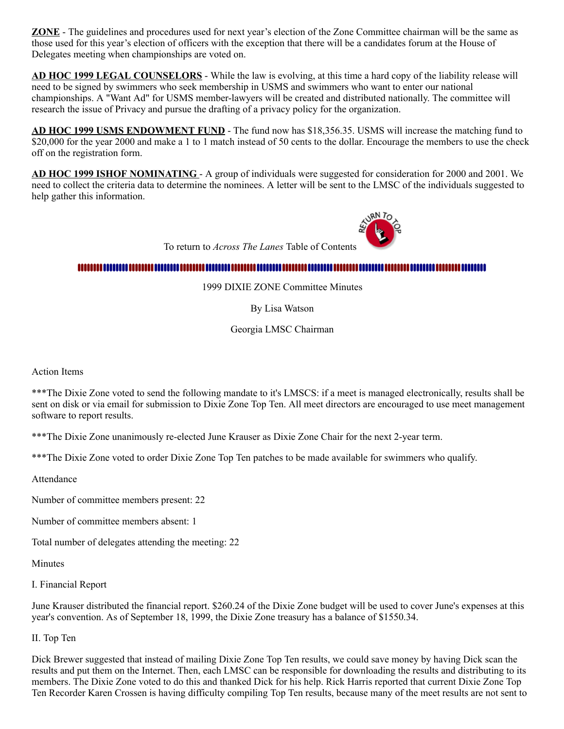**ZONE** - The guidelines and procedures used for next year's election of the Zone Committee chairman will be the same as those used for this year's election of officers with the exception that there will be a candidates forum at the House of Delegates meeting when championships are voted on.

**AD HOC 1999 LEGAL COUNSELORS** - While the law is evolving, at this time a hard copy of the liability release will need to be signed by swimmers who seek membership in USMS and swimmers who want to enter our national championships. A "Want Ad" for USMS member-lawyers will be created and distributed nationally. The committee will research the issue of Privacy and pursue the drafting of a privacy policy for the organization.

**AD HOC 1999 USMS ENDOWMENT FUND** - The fund now has \$18,356.35. USMS will increase the matching fund to \$20,000 for the year 2000 and make a 1 to 1 match instead of 50 cents to the dollar. Encourage the members to use the check off on the registration form.

**AD HOC 1999 ISHOF NOMINATING** - A group of individuals were suggested for consideration for 2000 and 2001. We need to collect the criteria data to determine the nominees. A letter will be sent to the LMSC of the individuals suggested to help gather this information.

To return to *Across The Lanes* Table of Contents

#### <span id="page-7-0"></span>

1999 DIXIE ZONE Committee Minutes

By Lisa Watson

Georgia LMSC Chairman

Action Items

\*\*\*The Dixie Zone voted to send the following mandate to it's LMSCS: if a meet is managed electronically, results shall be sent on disk or via email for submission to Dixie Zone Top Ten. All meet directors are encouraged to use meet management software to report results.

\*\*\*The Dixie Zone unanimously re-elected June Krauser as Dixie Zone Chair for the next 2-year term.

\*\*\*The Dixie Zone voted to order Dixie Zone Top Ten patches to be made available for swimmers who qualify.

Attendance

Number of committee members present: 22

Number of committee members absent: 1

Total number of delegates attending the meeting: 22

Minutes

I. Financial Report

June Krauser distributed the financial report. \$260.24 of the Dixie Zone budget will be used to cover June's expenses at this year's convention. As of September 18, 1999, the Dixie Zone treasury has a balance of \$1550.34.

II. Top Ten

Dick Brewer suggested that instead of mailing Dixie Zone Top Ten results, we could save money by having Dick scan the results and put them on the Internet. Then, each LMSC can be responsible for downloading the results and distributing to its members. The Dixie Zone voted to do this and thanked Dick for his help. Rick Harris reported that current Dixie Zone Top Ten Recorder Karen Crossen is having difficulty compiling Top Ten results, because many of the meet results are not sent to

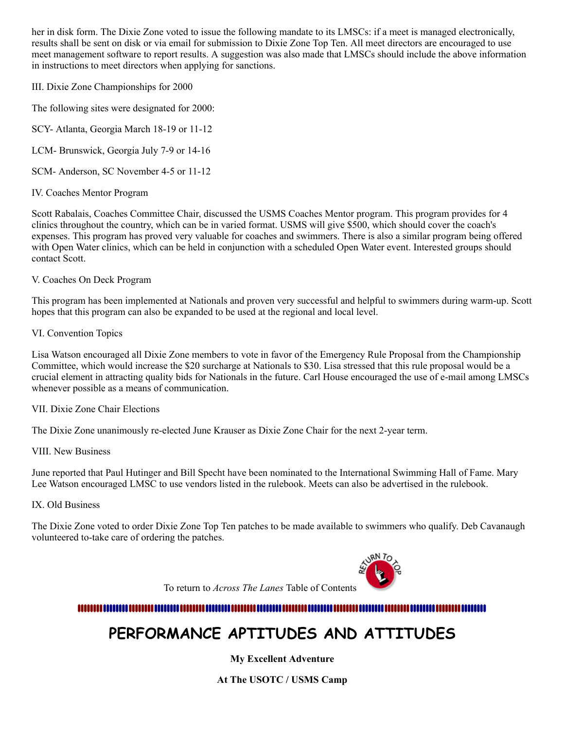her in disk form. The Dixie Zone voted to issue the following mandate to its LMSCs: if a meet is managed electronically, results shall be sent on disk or via email for submission to Dixie Zone Top Ten. All meet directors are encouraged to use meet management software to report results. A suggestion was also made that LMSCs should include the above information in instructions to meet directors when applying for sanctions.

III. Dixie Zone Championships for 2000

The following sites were designated for 2000:

SCY- Atlanta, Georgia March 18-19 or 11-12

LCM- Brunswick, Georgia July 7-9 or 14-16

SCM- Anderson, SC November 4-5 or 11-12

IV. Coaches Mentor Program

Scott Rabalais, Coaches Committee Chair, discussed the USMS Coaches Mentor program. This program provides for 4 clinics throughout the country, which can be in varied format. USMS will give \$500, which should cover the coach's expenses. This program has proved very valuable for coaches and swimmers. There is also a similar program being offered with Open Water clinics, which can be held in conjunction with a scheduled Open Water event. Interested groups should contact Scott.

#### V. Coaches On Deck Program

This program has been implemented at Nationals and proven very successful and helpful to swimmers during warm-up. Scott hopes that this program can also be expanded to be used at the regional and local level.

VI. Convention Topics

Lisa Watson encouraged all Dixie Zone members to vote in favor of the Emergency Rule Proposal from the Championship Committee, which would increase the \$20 surcharge at Nationals to \$30. Lisa stressed that this rule proposal would be a crucial element in attracting quality bids for Nationals in the future. Carl House encouraged the use of e-mail among LMSCs whenever possible as a means of communication.

VII. Dixie Zone Chair Elections

The Dixie Zone unanimously re-elected June Krauser as Dixie Zone Chair for the next 2-year term.

VIII. New Business

June reported that Paul Hutinger and Bill Specht have been nominated to the International Swimming Hall of Fame. Mary Lee Watson encouraged LMSC to use vendors listed in the rulebook. Meets can also be advertised in the rulebook.

IX. Old Business

The Dixie Zone voted to order Dixie Zone Top Ten patches to be made available to swimmers who qualify. Deb Cavanaugh volunteered to-take care of ordering the patches.



To return to *Across The Lanes* Table of Contents

<span id="page-8-0"></span>

## **PERFORMANCE APTITUDES AND ATTITUDES**

**My Excellent Adventure**

**At The USOTC / USMS Camp**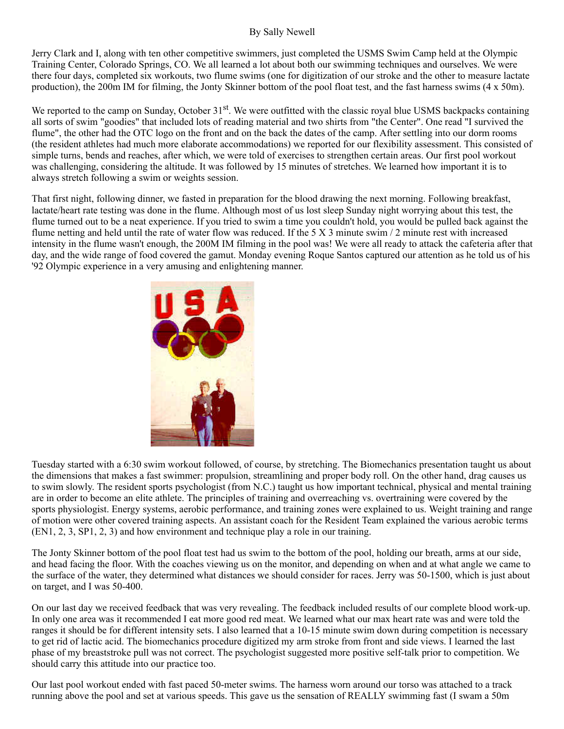#### By Sally Newell

Jerry Clark and I, along with ten other competitive swimmers, just completed the USMS Swim Camp held at the Olympic Training Center, Colorado Springs, CO. We all learned a lot about both our swimming techniques and ourselves. We were there four days, completed six workouts, two flume swims (one for digitization of our stroke and the other to measure lactate production), the 200m IM for filming, the Jonty Skinner bottom of the pool float test, and the fast harness swims (4 x 50m).

We reported to the camp on Sunday, October 31<sup>st</sup>. We were outfitted with the classic royal blue USMS backpacks containing all sorts of swim "goodies" that included lots of reading material and two shirts from "the Center". One read "I survived the flume", the other had the OTC logo on the front and on the back the dates of the camp. After settling into our dorm rooms (the resident athletes had much more elaborate accommodations) we reported for our flexibility assessment. This consisted of simple turns, bends and reaches, after which, we were told of exercises to strengthen certain areas. Our first pool workout was challenging, considering the altitude. It was followed by 15 minutes of stretches. We learned how important it is to always stretch following a swim or weights session.

That first night, following dinner, we fasted in preparation for the blood drawing the next morning. Following breakfast, lactate/heart rate testing was done in the flume. Although most of us lost sleep Sunday night worrying about this test, the flume turned out to be a neat experience. If you tried to swim a time you couldn't hold, you would be pulled back against the flume netting and held until the rate of water flow was reduced. If the 5 X 3 minute swim  $/2$  minute rest with increased intensity in the flume wasn't enough, the 200M IM filming in the pool was! We were all ready to attack the cafeteria after that day, and the wide range of food covered the gamut. Monday evening Roque Santos captured our attention as he told us of his '92 Olympic experience in a very amusing and enlightening manner.



Tuesday started with a 6:30 swim workout followed, of course, by stretching. The Biomechanics presentation taught us about the dimensions that makes a fast swimmer: propulsion, streamlining and proper body roll. On the other hand, drag causes us to swim slowly. The resident sports psychologist (from N.C.) taught us how important technical, physical and mental training are in order to become an elite athlete. The principles of training and overreaching vs. overtraining were covered by the sports physiologist. Energy systems, aerobic performance, and training zones were explained to us. Weight training and range of motion were other covered training aspects. An assistant coach for the Resident Team explained the various aerobic terms (EN1, 2, 3, SP1, 2, 3) and how environment and technique play a role in our training.

The Jonty Skinner bottom of the pool float test had us swim to the bottom of the pool, holding our breath, arms at our side, and head facing the floor. With the coaches viewing us on the monitor, and depending on when and at what angle we came to the surface of the water, they determined what distances we should consider for races. Jerry was 50-1500, which is just about on target, and I was 50-400.

On our last day we received feedback that was very revealing. The feedback included results of our complete blood work-up. In only one area was it recommended I eat more good red meat. We learned what our max heart rate was and were told the ranges it should be for different intensity sets. I also learned that a 10-15 minute swim down during competition is necessary to get rid of lactic acid. The biomechanics procedure digitized my arm stroke from front and side views. I learned the last phase of my breaststroke pull was not correct. The psychologist suggested more positive self-talk prior to competition. We should carry this attitude into our practice too.

Our last pool workout ended with fast paced 50-meter swims. The harness worn around our torso was attached to a track running above the pool and set at various speeds. This gave us the sensation of REALLY swimming fast (I swam a 50m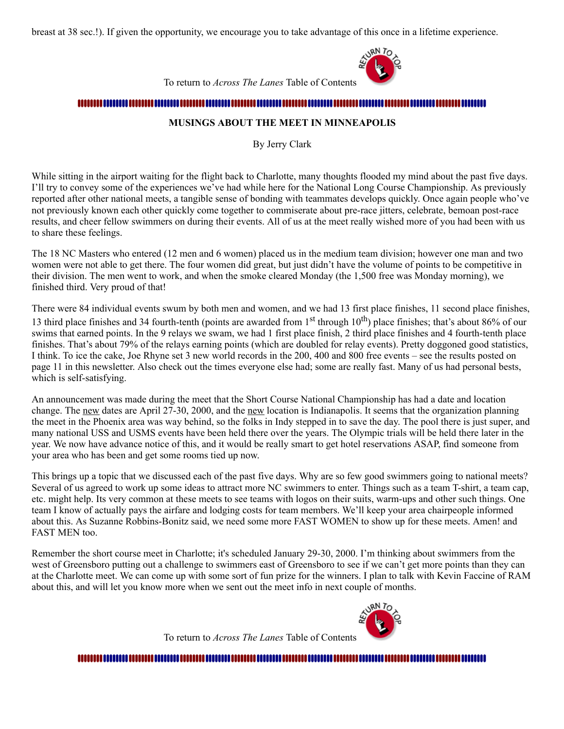breast at 38 sec.!). If given the opportunity, we encourage you to take advantage of this once in a lifetime experience.



To return to *Across The Lanes* Table of Contents

#### <span id="page-10-0"></span>

#### **MUSINGS ABOUT THE MEET IN MINNEAPOLIS**

By Jerry Clark

While sitting in the airport waiting for the flight back to Charlotte, many thoughts flooded my mind about the past five days. I'll try to convey some of the experiences we've had while here for the National Long Course Championship. As previously reported after other national meets, a tangible sense of bonding with teammates develops quickly. Once again people who've not previously known each other quickly come together to commiserate about pre-race jitters, celebrate, bemoan post-race results, and cheer fellow swimmers on during their events. All of us at the meet really wished more of you had been with us to share these feelings.

The 18 NC Masters who entered (12 men and 6 women) placed us in the medium team division; however one man and two women were not able to get there. The four women did great, but just didn't have the volume of points to be competitive in their division. The men went to work, and when the smoke cleared Monday (the 1,500 free was Monday morning), we finished third. Very proud of that!

There were 84 individual events swum by both men and women, and we had 13 first place finishes, 11 second place finishes, 13 third place finishes and 34 fourth-tenth (points are awarded from  $1<sup>st</sup>$  through  $10<sup>th</sup>$ ) place finishes; that's about 86% of our swims that earned points. In the 9 relays we swam, we had 1 first place finish, 2 third place finishes and 4 fourth-tenth place finishes. That's about 79% of the relays earning points (which are doubled for relay events). Pretty doggoned good statistics, I think. To ice the cake, Joe Rhyne set 3 new world records in the 200, 400 and 800 free events – see the results posted on page 11 in this newsletter. Also check out the times everyone else had; some are really fast. Many of us had personal bests, which is self-satisfying.

An announcement was made during the meet that the Short Course National Championship has had a date and location change. The new dates are April 27-30, 2000, and the new location is Indianapolis. It seems that the organization planning the meet in the Phoenix area was way behind, so the folks in Indy stepped in to save the day. The pool there is just super, and many national USS and USMS events have been held there over the years. The Olympic trials will be held there later in the year. We now have advance notice of this, and it would be really smart to get hotel reservations ASAP, find someone from your area who has been and get some rooms tied up now.

This brings up a topic that we discussed each of the past five days. Why are so few good swimmers going to national meets? Several of us agreed to work up some ideas to attract more NC swimmers to enter. Things such as a team T-shirt, a team cap, etc. might help. Its very common at these meets to see teams with logos on their suits, warm-ups and other such things. One team I know of actually pays the airfare and lodging costs for team members. We'll keep your area chairpeople informed about this. As Suzanne Robbins-Bonitz said, we need some more FAST WOMEN to show up for these meets. Amen! and FAST MEN too.

Remember the short course meet in Charlotte; it's scheduled January 29-30, 2000. I'm thinking about swimmers from the west of Greensboro putting out a challenge to swimmers east of Greensboro to see if we can't get more points than they can at the Charlotte meet. We can come up with some sort of fun prize for the winners. I plan to talk with Kevin Faccine of RAM about this, and will let you know more when we sent out the meet info in next couple of months.



To return to *Across The Lanes* Table of Contents

<span id="page-10-1"></span>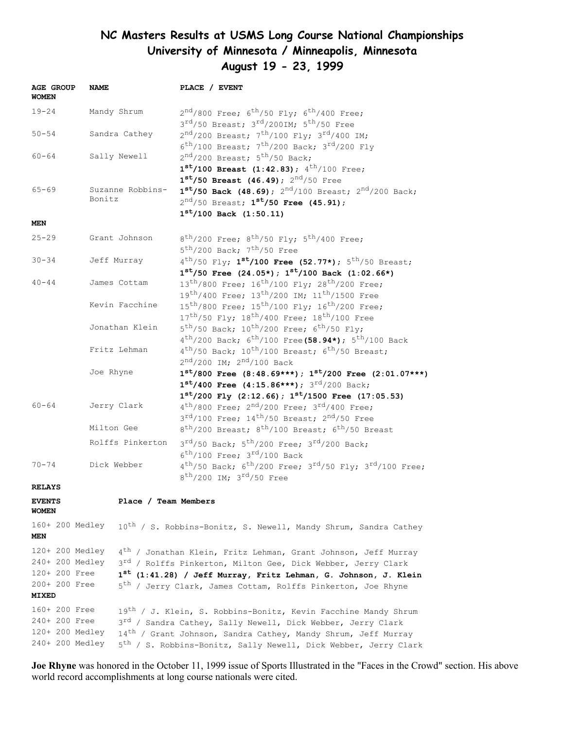### **NC Masters Results at USMS Long Course National Championships University of Minnesota / Minneapolis, Minnesota August 19 - 23, 1999**

| <b>AGE GROUP</b><br>WOMEN | <b>NAME</b>     |                                                                          | PLACE / EVENT                                                                      |
|---------------------------|-----------------|--------------------------------------------------------------------------|------------------------------------------------------------------------------------|
| $19 - 24$                 |                 | Mandy Shrum                                                              | $2nd/800$ Free; $6th/50$ Fly; $6th/400$ Free;                                      |
|                           |                 |                                                                          | $3^{\text{rd}}/50$ Breast; $3^{\text{rd}}/200$ IM; $5^{\text{th}}/50$ Free         |
| $50 - 54$                 |                 | Sandra Cathey                                                            | $2^{nd}/200$ Breast; $7^{th}/100$ Fly; $3^{rd}/400$ IM;                            |
|                           |                 |                                                                          | $6^{\text{th}}/100$ Breast; $7^{\text{th}}/200$ Back; $3^{\text{rd}}/200$ Fly      |
| $60 - 64$                 |                 | Sally Newell                                                             | $2nd/200$ Breast; $5th/50$ Back;                                                   |
|                           |                 |                                                                          | $1^{st}/100$ Breast (1:42.83); $4^{th}/100$ Free;                                  |
|                           |                 |                                                                          | $1^{st}/50$ Breast (46.49); $2^{nd}/50$ Free                                       |
| $65 - 69$                 |                 | Suzanne Robbins-                                                         | $1^{st}/50$ Back (48.69); $2^{nd}/100$ Breast; $2^{nd}/200$ Back;                  |
|                           | Bonitz          |                                                                          | $2^{nd}/50$ Breast; $1^{st}/50$ Free (45.91);                                      |
| MEN                       |                 |                                                                          | $1^{st}/100$ Back $(1:50.11)$                                                      |
| $25 - 29$                 |                 | Grant Johnson                                                            | $8^{th}/200$ Free; $8^{th}/50$ Fly; $5^{th}/400$ Free;                             |
|                           |                 |                                                                          | $5^{\text{th}}$ /200 Back; 7 <sup>th</sup> /50 Free                                |
| $30 - 34$                 |                 | Jeff Murray                                                              | $4^{th}/50$ Fly; $1^{st}/100$ Free (52.77*); $5^{th}/50$ Breast;                   |
|                           |                 |                                                                          | $1^{st}/50$ Free (24.05*); $1^{st}/100$ Back (1:02.66*)                            |
| $40 - 44$                 |                 | James Cottam                                                             | 13 <sup>th</sup> /800 Free; 16 <sup>th</sup> /100 Fly; 28 <sup>th</sup> /200 Free; |
|                           |                 |                                                                          | $19^{th}/400$ Free; $13^{th}/200$ IM; $11^{th}/1500$ Free                          |
|                           |                 | Kevin Facchine                                                           | 15 <sup>th</sup> /800 Free; 15 <sup>th</sup> /100 Fly; 16 <sup>th</sup> /200 Free; |
|                           |                 |                                                                          | $17^{th}/50$ Fly; $18^{th}/400$ Free; $18^{th}/100$ Free                           |
|                           |                 | Jonathan Klein                                                           | $5^{\text{th}}/50$ Back; $10^{\text{th}}/200$ Free; $6^{\text{th}}/50$ Fly;        |
|                           |                 |                                                                          | $4^{th}/200$ Back; $6^{th}/100$ Free (58.94*); $5^{th}/100$ Back                   |
|                           |                 | Fritz Lehman                                                             | $4^{th}/50$ Back; $10^{th}/100$ Breast; $6^{th}/50$ Breast;                        |
|                           |                 |                                                                          | $2^{nd}/200$ IM; $2^{nd}/100$ Back                                                 |
|                           | Joe Rhyne       |                                                                          | $1^{st}/800$ Free $(8:48.69***); 1^{st}/200$ Free $(2:01.07***)$                   |
|                           |                 |                                                                          | $1^{st}/400$ Free (4:15.86***); $3^{rd}/200$ Back;                                 |
|                           |                 |                                                                          | $1^{st}/200$ Fly (2:12.66); $1^{st}/1500$ Free (17:05.53)                          |
| $60 - 64$                 |                 | Jerry Clark                                                              | $4^{th}/800$ Free; $2^{nd}/200$ Free; $3^{rd}/400$ Free;                           |
|                           |                 |                                                                          | $3^{\text{rd}}/100$ Free; $14^{\text{th}}/50$ Breast; $2^{\text{nd}}/50$ Free      |
|                           |                 | Milton Gee                                                               | $8^{th}/200$ Breast; $8^{th}/100$ Breast; $6^{th}/50$ Breast                       |
|                           |                 | Rolffs Pinkerton                                                         | $3^{\text{rd}}/50$ Back; $5^{\text{th}}/200$ Free; $3^{\text{rd}}/200$ Back;       |
|                           |                 |                                                                          | $6^{\text{th}}/100$ Free; $3^{\text{rd}}/100$ Back                                 |
| $70 - 74$                 |                 | Dick Webber                                                              | $4^{th}/50$ Back; $6^{th}/200$ Free; $3^{rd}/50$ Fly; $3^{rd}/100$ Free;           |
| <b>RELAYS</b>             |                 |                                                                          | $8^{\text{th}}$ /200 IM; $3^{\text{rd}}$ /50 Free                                  |
| <b>EVENTS</b>             |                 | Place / Team Members                                                     |                                                                                    |
| WOMEN                     |                 |                                                                          |                                                                                    |
|                           | 160+ 200 Medley |                                                                          | 10 <sup>th</sup> / S. Robbins-Bonitz, S. Newell, Mandy Shrum, Sandra Cathey        |
| MEN                       |                 |                                                                          |                                                                                    |
|                           | 120+ 200 Medley |                                                                          | 4 <sup>th</sup> / Jonathan Klein, Fritz Lehman, Grant Johnson, Jeff Murray         |
|                           | 240+ 200 Medley | 3 <sup>rd</sup> / Rolffs Pinkerton, Milton Gee, Dick Webber, Jerry Clark |                                                                                    |
| 120+ 200 Free             |                 |                                                                          | 1 <sup>st</sup> (1:41.28) / Jeff Murray, Fritz Lehman, G. Johnson, J. Klein        |
| 200+ 200 Free             |                 |                                                                          | 5 <sup>th</sup> / Jerry Clark, James Cottam, Rolffs Pinkerton, Joe Rhyne           |
| <b>MIXED</b>              |                 |                                                                          |                                                                                    |
| 160+ 200 Free             |                 |                                                                          | 19 <sup>th</sup> / J. Klein, S. Robbins-Bonitz, Kevin Facchine Mandy Shrum         |
| 240+ 200 Free             |                 |                                                                          | 3 <sup>rd</sup> / Sandra Cathey, Sally Newell, Dick Webber, Jerry Clark            |
|                           | 120+ 200 Medley |                                                                          | 14 <sup>th</sup> / Grant Johnson, Sandra Cathey, Mandy Shrum, Jeff Murray          |
|                           | 240+ 200 Medley |                                                                          | 5 <sup>th</sup> / S. Robbins-Bonitz, Sally Newell, Dick Webber, Jerry Clark        |

**Joe Rhyne** was honored in the October 11, 1999 issue of Sports Illustrated in the "Faces in the Crowd" section. His above world record accomplishments at long course nationals were cited.